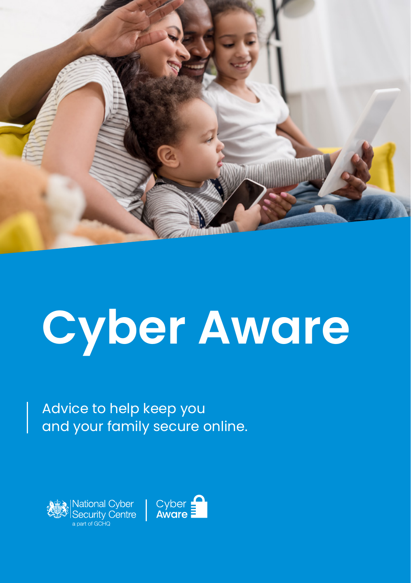

# **Cyber Aware**

Advice to help keep you and your family secure online.



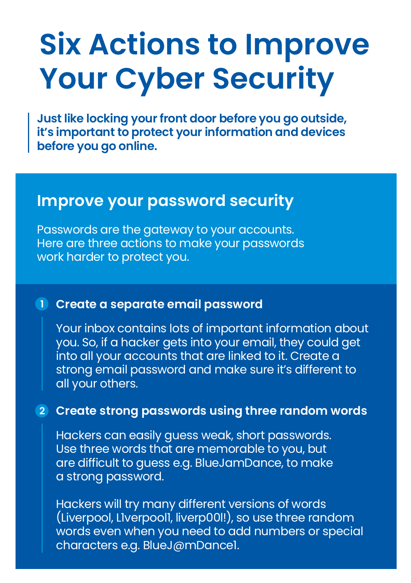# **Six Actions to Improve Your Cyber Security**

**Just like locking your front door before you go outside, it's important to protect your information and devices before you go online.** 

# **Improve your password security**

Passwords are the gateway to your accounts. Here are three actions to make your passwords work harder to protect you.

#### **Create a separate email password 1**

Your inbox contains lots of important information about you. So, if a hacker gets into your email, they could get into all your accounts that are linked to it. Create a strong email password and make sure it's different to all your others.

## **Create strong passwords using three random words 2**

Hackers can easily guess weak, short passwords. Use three words that are memorable to you, but are difficult to guess e.g. BlueJamDance, to make a strong password.

Hackers will try many different versions of words (Liverpool, L1verpool1, liverp00l!), so use three random words even when you need to add numbers or special characters e.g. BlueJ@mDance1.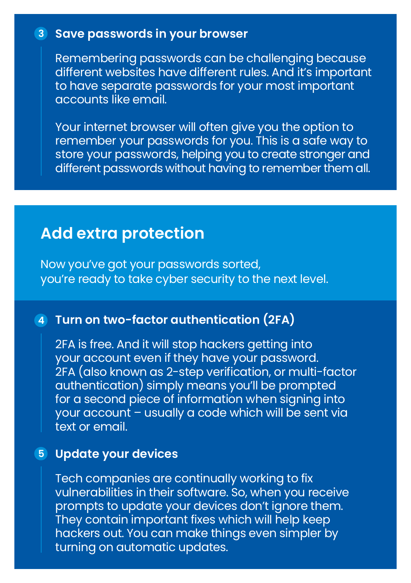### **Save passwords in your browser 3**

Remembering passwords can be challenging because different websites have different rules. And it's important to have separate passwords for your most important accounts like email.

Your internet browser will often give you the option to remember your passwords for you. This is a safe way to store your passwords, helping you to create stronger and different passwords without having to remember them all.

# **Add extra protection**

Now you've got your passwords sorted, you're ready to take cyber security to the next level.

# **Turn on two-factor authentication (2FA) 4**

2FA is free. And it will stop hackers getting into your account even if they have your password. 2FA (also known as 2-step verification, or multi-factor authentication) simply means you'll be prompted for a second piece of information when signing into your account – usually a code which will be sent via text or email.

### **Update your devices 5**

Tech companies are continually working to fix vulnerabilities in their software. So, when you receive prompts to update your devices don't ignore them. They contain important fixes which will help keep hackers out. You can make things even simpler by turning on automatic updates.